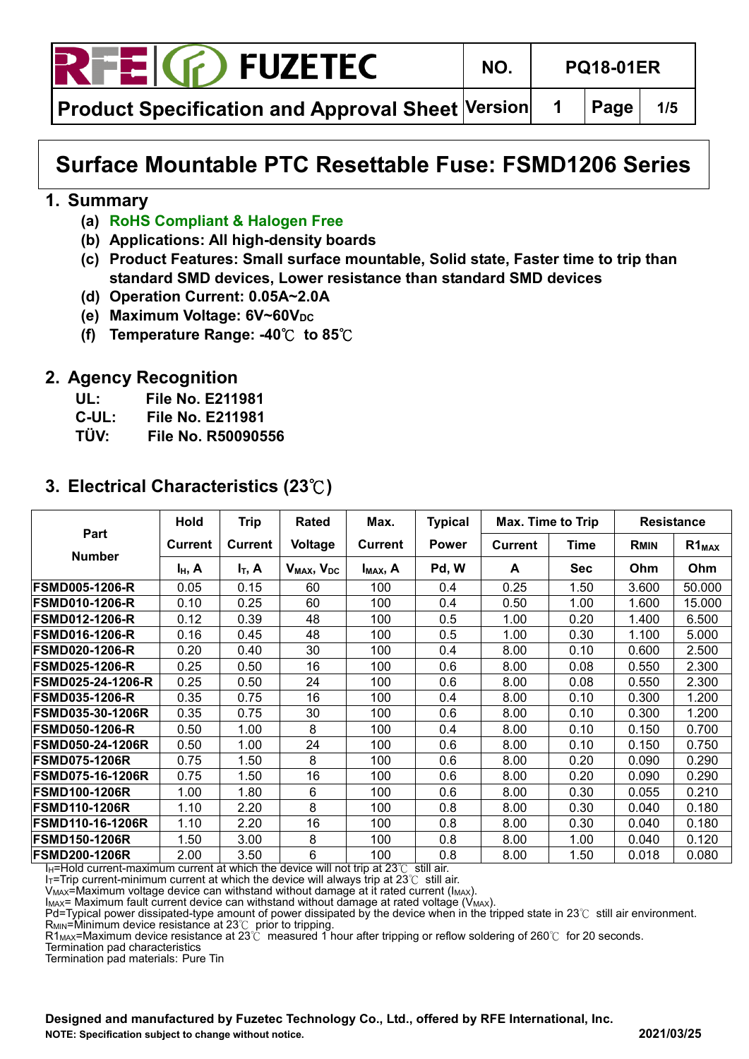

**Product Specification and Approval Sheet Version | 1 | Page | 1/5** 

## **Surface Mountable PTC Resettable Fuse: FSMD1206 Series**

#### **1. Summary**

- **(a) RoHS Compliant & Halogen Free**
- **(b) Applications: All high-density boards**
- **(c) Product Features: Small surface mountable, Solid state, Faster time to trip than standard SMD devices, Lower resistance than standard SMD devices**
- **(d) Operation Current: 0.05A~2.0A**
- **(e)** Maximum Voltage: 6V~60V<sub>DC</sub>
- **(f) Temperature Range: -40**℃ **to 85**℃

#### **2. Agency Recognition**

- **UL: File No. E211981**
- **C-UL: File No. E211981**
- **TÜV: File No. R50090556**

|                          | <b>Hold</b>    | <b>Trip</b>    | <b>Rated</b>                       | Max.                 | <b>Typical</b> | Max. Time to Trip |             |             | <b>Resistance</b> |
|--------------------------|----------------|----------------|------------------------------------|----------------------|----------------|-------------------|-------------|-------------|-------------------|
| Part                     | <b>Current</b> | <b>Current</b> | Voltage                            | <b>Current</b>       | <b>Power</b>   | <b>Current</b>    | <b>Time</b> | <b>RMIN</b> | $R1_{MAX}$        |
| <b>Number</b>            | $I_H$ , A      | $I_T$ , A      | V <sub>MAX</sub> , V <sub>DC</sub> | I <sub>MAX</sub> , A | Pd, W          | A                 | <b>Sec</b>  | Ohm         | Ohm               |
| <b>FSMD005-1206-R</b>    | 0.05           | 0.15           | 60                                 | 100                  | 0.4            | 0.25              | 1.50        | 3.600       | 50.000            |
| <b>FSMD010-1206-R</b>    | 0.10           | 0.25           | 60                                 | 100                  | 0.4            | 0.50              | 1.00        | 1.600       | 15.000            |
| <b>FSMD012-1206-R</b>    | 0.12           | 0.39           | 48                                 | 100                  | 0.5            | 1.00              | 0.20        | 1.400       | 6.500             |
| <b>FSMD016-1206-R</b>    | 0.16           | 0.45           | 48                                 | 100                  | 0.5            | 1.00              | 0.30        | 1.100       | 5.000             |
| <b>FSMD020-1206-R</b>    | 0.20           | 0.40           | 30                                 | 100                  | 0.4            | 8.00              | 0.10        | 0.600       | 2.500             |
| <b>FSMD025-1206-R</b>    | 0.25           | 0.50           | 16                                 | 100                  | 0.6            | 8.00              | 0.08        | 0.550       | 2.300             |
| <b>FSMD025-24-1206-R</b> | 0.25           | 0.50           | 24                                 | 100                  | 0.6            | 8.00              | 0.08        | 0.550       | 2.300             |
| <b>FSMD035-1206-R</b>    | 0.35           | 0.75           | 16                                 | 100                  | 0.4            | 8.00              | 0.10        | 0.300       | 1.200             |
| <b>FSMD035-30-1206R</b>  | 0.35           | 0.75           | 30                                 | 100                  | 0.6            | 8.00              | 0.10        | 0.300       | 1.200             |
| <b>FSMD050-1206-R</b>    | 0.50           | 1.00           | 8                                  | 100                  | 0.4            | 8.00              | 0.10        | 0.150       | 0.700             |
| <b>FSMD050-24-1206R</b>  | 0.50           | 1.00           | 24                                 | 100                  | 0.6            | 8.00              | 0.10        | 0.150       | 0.750             |
| <b>FSMD075-1206R</b>     | 0.75           | 1.50           | 8                                  | 100                  | 0.6            | 8.00              | 0.20        | 0.090       | 0.290             |
| <b>FSMD075-16-1206R</b>  | 0.75           | 1.50           | 16                                 | 100                  | 0.6            | 8.00              | 0.20        | 0.090       | 0.290             |
| <b>FSMD100-1206R</b>     | 1.00           | 1.80           | 6                                  | 100                  | 0.6            | 8.00              | 0.30        | 0.055       | 0.210             |
| <b>FSMD110-1206R</b>     | 1.10           | 2.20           | 8                                  | 100                  | 0.8            | 8.00              | 0.30        | 0.040       | 0.180             |
| <b>FSMD110-16-1206R</b>  | 1.10           | 2.20           | 16                                 | 100                  | 0.8            | 8.00              | 0.30        | 0.040       | 0.180             |
| <b>FSMD150-1206R</b>     | 1.50           | 3.00           | 8                                  | 100                  | 0.8            | 8.00              | 1.00        | 0.040       | 0.120             |
| <b>FSMD200-1206R</b>     | 2.00           | 3.50           | 6                                  | 100                  | 0.8            | 8.00              | 1.50        | 0.018       | 0.080             |

#### **3. Electrical Characteristics (23**℃**)**

I<sub>H</sub>=Hold current-maximum current at which the device will not trip at 23℃ still air.

IT=Trip current-minimum current at which the device will always trip at 23℃ still air.

V<sub>MAX</sub>=Maximum voltage device can withstand without damage at it rated current (I<sub>MAX</sub>).  $I_{MAX}$ = Maximum fault current device can withstand without damage at rated voltage ( $V_{MAX}$ ).

Pd=Typical power dissipated-type amount of power dissipated by the device when in the tripped state in 23℃ still air environment.  $R_{MIN}$ =Minimum device resistance at 23 $\degree$  prior to tripping.

R1MAX=Maximum device resistance at 23℃ measured 1 hour after tripping or reflow soldering of 260℃ for 20 seconds.

Termination pad characteristics

Termination pad materials: Pure Tin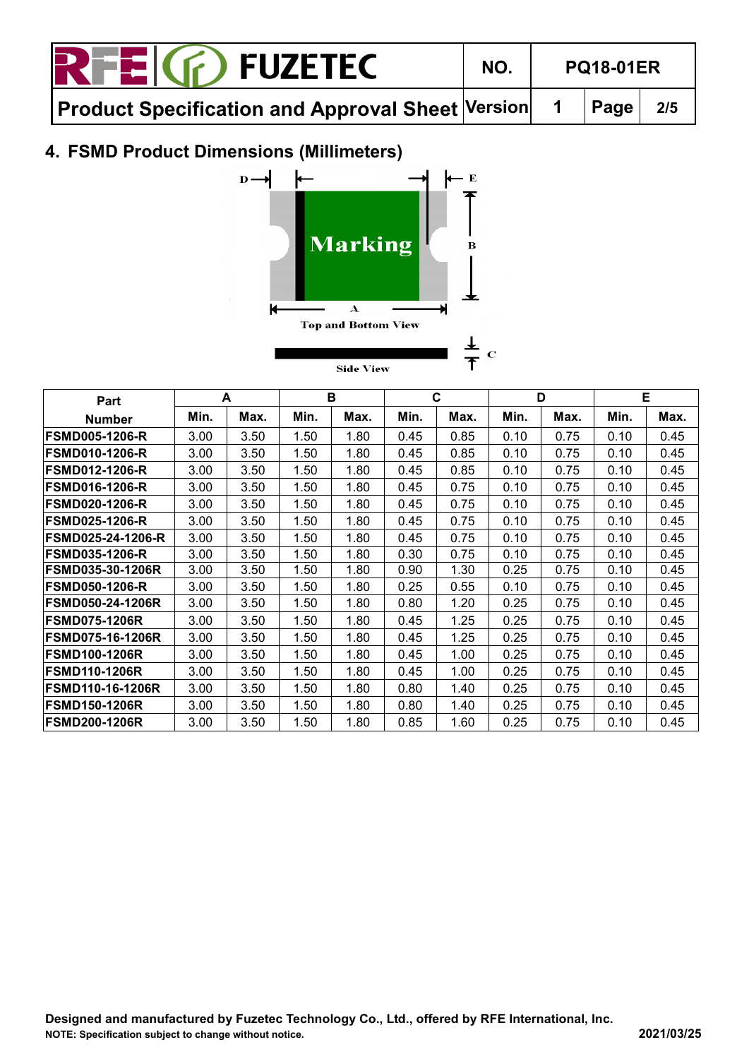| <b>RTEIG</b> FUZETEC                             | NO. | <b>PQ18-01ER</b> |     |
|--------------------------------------------------|-----|------------------|-----|
| Product Specification and Approval Sheet Version |     | $ $ Page         | 2/5 |

## **4. FSMD Product Dimensions (Millimeters)**



| Part                     |      | A    |      | в    |      | C    |      | D    |      | Е    |
|--------------------------|------|------|------|------|------|------|------|------|------|------|
| <b>Number</b>            | Min. | Max. | Min. | Max. | Min. | Max. | Min. | Max. | Min. | Max. |
| <b>FSMD005-1206-R</b>    | 3.00 | 3.50 | 1.50 | 1.80 | 0.45 | 0.85 | 0.10 | 0.75 | 0.10 | 0.45 |
| <b>FSMD010-1206-R</b>    | 3.00 | 3.50 | 1.50 | 1.80 | 0.45 | 0.85 | 0.10 | 0.75 | 0.10 | 0.45 |
| <b>FSMD012-1206-R</b>    | 3.00 | 3.50 | 1.50 | 1.80 | 0.45 | 0.85 | 0.10 | 0.75 | 0.10 | 0.45 |
| <b>FSMD016-1206-R</b>    | 3.00 | 3.50 | 1.50 | 1.80 | 0.45 | 0.75 | 0.10 | 0.75 | 0.10 | 0.45 |
| <b>FSMD020-1206-R</b>    | 3.00 | 3.50 | 1.50 | 1.80 | 0.45 | 0.75 | 0.10 | 0.75 | 0.10 | 0.45 |
| <b>FSMD025-1206-R</b>    | 3.00 | 3.50 | 1.50 | 1.80 | 0.45 | 0.75 | 0.10 | 0.75 | 0.10 | 0.45 |
| <b>FSMD025-24-1206-R</b> | 3.00 | 3.50 | 1.50 | 1.80 | 0.45 | 0.75 | 0.10 | 0.75 | 0.10 | 0.45 |
| <b>FSMD035-1206-R</b>    | 3.00 | 3.50 | 1.50 | 1.80 | 0.30 | 0.75 | 0.10 | 0.75 | 0.10 | 0.45 |
| <b>FSMD035-30-1206R</b>  | 3.00 | 3.50 | 1.50 | 1.80 | 0.90 | 1.30 | 0.25 | 0.75 | 0.10 | 0.45 |
| <b>FSMD050-1206-R</b>    | 3.00 | 3.50 | 1.50 | 1.80 | 0.25 | 0.55 | 0.10 | 0.75 | 0.10 | 0.45 |
| <b>FSMD050-24-1206R</b>  | 3.00 | 3.50 | 1.50 | 1.80 | 0.80 | 1.20 | 0.25 | 0.75 | 0.10 | 0.45 |
| <b>FSMD075-1206R</b>     | 3.00 | 3.50 | 1.50 | 1.80 | 0.45 | 1.25 | 0.25 | 0.75 | 0.10 | 0.45 |
| <b>FSMD075-16-1206R</b>  | 3.00 | 3.50 | 1.50 | 1.80 | 0.45 | 1.25 | 0.25 | 0.75 | 0.10 | 0.45 |
| <b>FSMD100-1206R</b>     | 3.00 | 3.50 | 1.50 | 1.80 | 0.45 | 1.00 | 0.25 | 0.75 | 0.10 | 0.45 |
| <b>FSMD110-1206R</b>     | 3.00 | 3.50 | 1.50 | 1.80 | 0.45 | 1.00 | 0.25 | 0.75 | 0.10 | 0.45 |
| <b>FSMD110-16-1206R</b>  | 3.00 | 3.50 | 1.50 | 1.80 | 0.80 | 1.40 | 0.25 | 0.75 | 0.10 | 0.45 |
| <b>FSMD150-1206R</b>     | 3.00 | 3.50 | 1.50 | 1.80 | 0.80 | 1.40 | 0.25 | 0.75 | 0.10 | 0.45 |
| <b>FSMD200-1206R</b>     | 3.00 | 3.50 | 1.50 | 1.80 | 0.85 | 1.60 | 0.25 | 0.75 | 0.10 | 0.45 |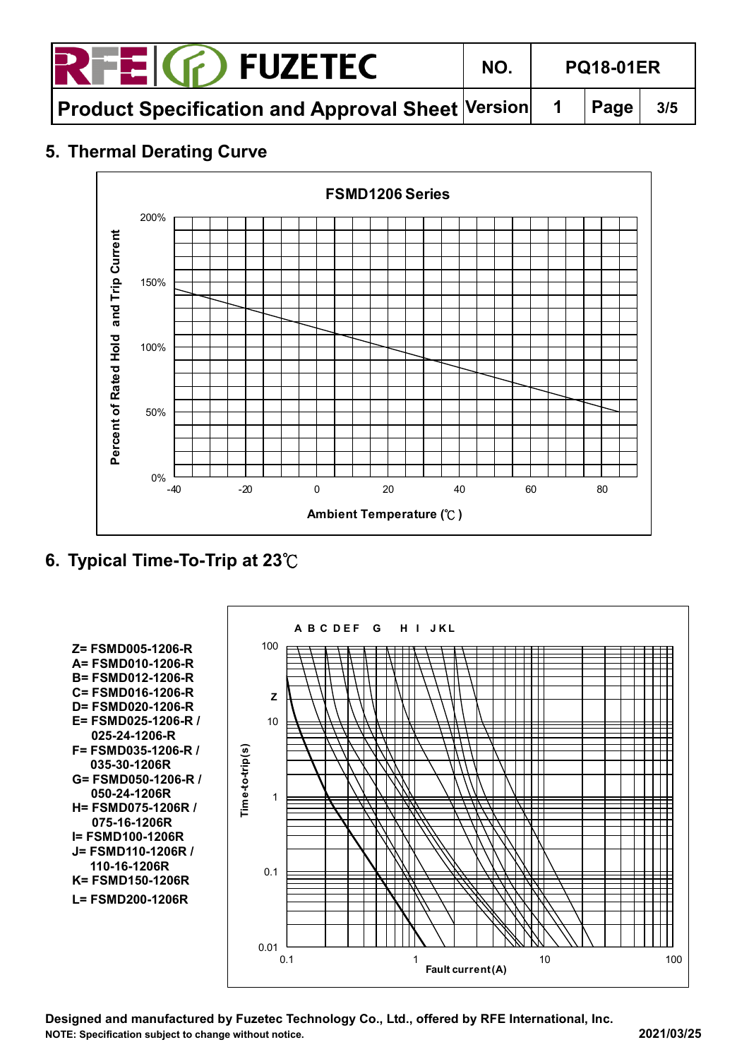

**Product Specification and Approval Sheet Version 1 Page 3/5**

### **5. Thermal Derating Curve**



**6. Typical Time-To-Trip at 23**℃

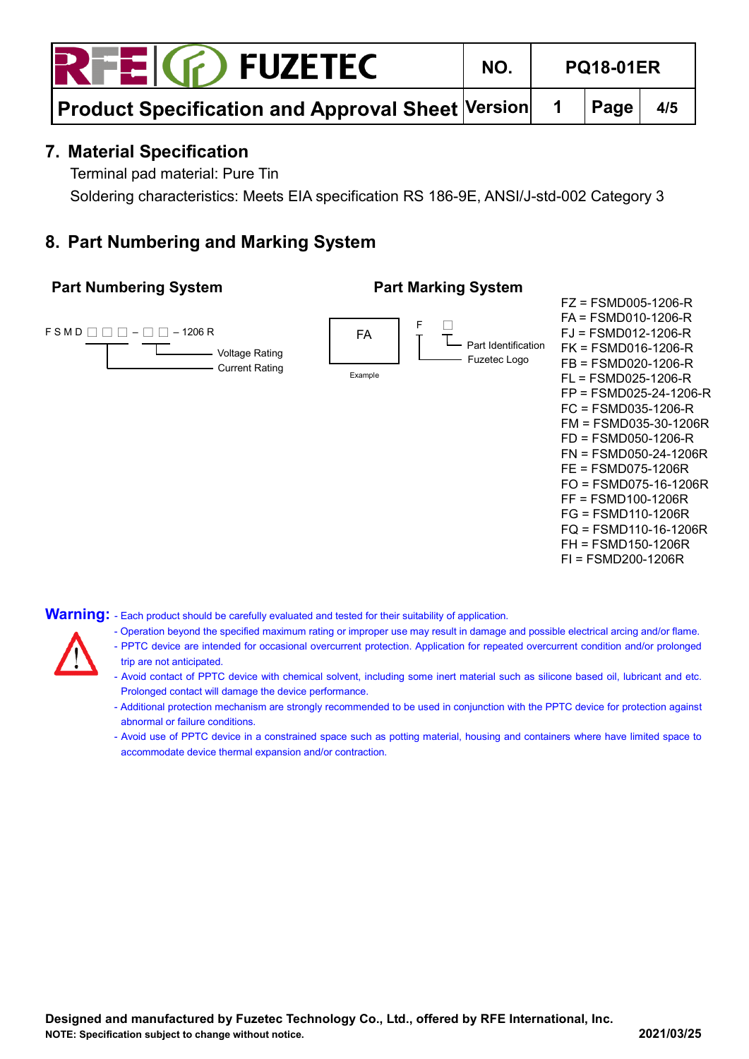$E(G)$  FUZETEC

FZ = FSMD005-1206-R

**Product Specification and Approval Sheet Version | 1 | Page | 4/5** 

#### **7. Material Specification**

Terminal pad material: Pure Tin

Soldering characteristics: Meets EIA specification RS 186-9E, ANSI/J-std-002 Category 3

#### **8. Part Numbering and Marking System**

#### **Part Numbering System Part Marking System**

FA  $\mathsf{FSMD} \square \square \square - \square \square - 1206 \mathsf{R}$  $\Box$ FA = FSMD010-1206-R FJ = FSMD012-1206-R FK = FSMD016-1206-R FB = FSMD020-1206-R FL = FSMD025-1206-R FP = FSMD025-24-1206-R FC = FSMD035-1206-R FM = FSMD035-30-1206R FD = FSMD050-1206-R FN = FSMD050-24-1206R FE = FSMD075-1206R FO = FSMD075-16-1206R FF = FSMD100-1206R FG = FSMD110-1206R FQ = FSMD110-16-1206R FH = FSMD150-1206R FI = FSMD200-1206R Voltage Rating - Current Rating Example Part Identification - Fuzetec Logo

Warning: - Each product should be carefully evaluated and tested for their suitability of application.

- Operation beyond the specified maximum rating or improper use may result in damage and possible electrical arcing and/or flame.
- PPTC device are intended for occasional overcurrent protection. Application for repeated overcurrent condition and/or prolonged
- trip are not anticipated.
- Avoid contact of PPTC device with chemical solvent, including some inert material such as silicone based oil, lubricant and etc. Prolonged contact will damage the device performance.
- Additional protection mechanism are strongly recommended to be used in conjunction with the PPTC device for protection against abnormal or failure conditions.
- Avoid use of PPTC device in a constrained space such as potting material, housing and containers where have limited space to accommodate device thermal expansion and/or contraction.